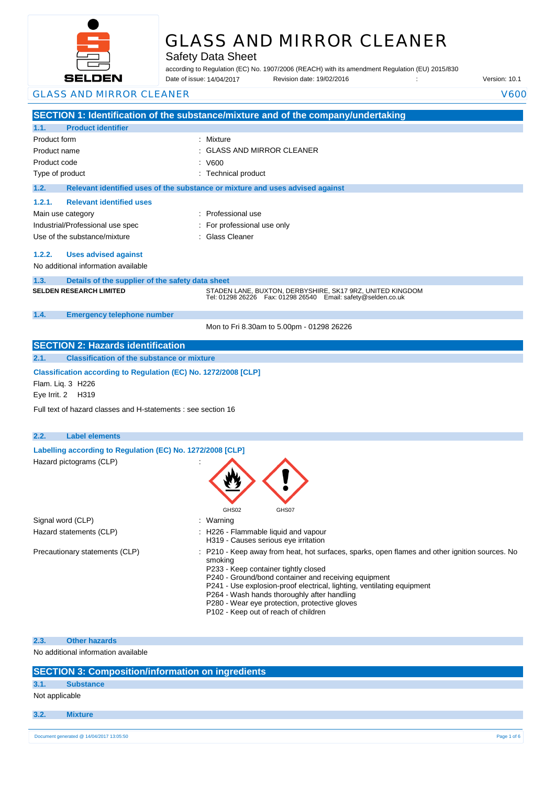

# GLASS AND MIRROR CLEANER

Safety Data Sheet

according to Regulation (EC) No. 1907/2006 (REACH) with its amendment Regulation (EU) 2015/830 Date of issue: Revision date: 19/02/2016 : Version: 10.1 Date of issue: 14/04/2017

| <b>GLASS AND MIRROR CLEANER</b>                                                      | V600                                                                                                                                                                                                                                                                                                                               |
|--------------------------------------------------------------------------------------|------------------------------------------------------------------------------------------------------------------------------------------------------------------------------------------------------------------------------------------------------------------------------------------------------------------------------------|
|                                                                                      | SECTION 1: Identification of the substance/mixture and of the company/undertaking                                                                                                                                                                                                                                                  |
| <b>Product identifier</b><br>1.1.                                                    |                                                                                                                                                                                                                                                                                                                                    |
| Product form                                                                         | : Mixture                                                                                                                                                                                                                                                                                                                          |
| Product name                                                                         | <b>GLASS AND MIRROR CLEANER</b>                                                                                                                                                                                                                                                                                                    |
| Product code                                                                         | V600                                                                                                                                                                                                                                                                                                                               |
| Type of product                                                                      | : Technical product                                                                                                                                                                                                                                                                                                                |
| 1.2.                                                                                 | Relevant identified uses of the substance or mixture and uses advised against                                                                                                                                                                                                                                                      |
| <b>Relevant identified uses</b><br>1.2.1.                                            |                                                                                                                                                                                                                                                                                                                                    |
| Main use category                                                                    | : Professional use                                                                                                                                                                                                                                                                                                                 |
| Industrial/Professional use spec                                                     | For professional use only                                                                                                                                                                                                                                                                                                          |
| Use of the substance/mixture                                                         | <b>Glass Cleaner</b>                                                                                                                                                                                                                                                                                                               |
| 1.2.2.<br><b>Uses advised against</b>                                                |                                                                                                                                                                                                                                                                                                                                    |
| No additional information available                                                  |                                                                                                                                                                                                                                                                                                                                    |
| 1.3.<br>Details of the supplier of the safety data sheet                             |                                                                                                                                                                                                                                                                                                                                    |
| <b>SELDEN RESEARCH LIMITED</b>                                                       | STADEN LANE, BUXTON, DERBYSHIRE, SK17 9RZ, UNITED KINGDOM<br>Tel: 01298 26226    Fax: 01298 26540    Email: safety@selden.co.uk                                                                                                                                                                                                    |
| 1.4.<br><b>Emergency telephone number</b>                                            |                                                                                                                                                                                                                                                                                                                                    |
|                                                                                      | Mon to Fri 8.30am to 5.00pm - 01298 26226                                                                                                                                                                                                                                                                                          |
|                                                                                      |                                                                                                                                                                                                                                                                                                                                    |
| <b>SECTION 2: Hazards identification</b>                                             |                                                                                                                                                                                                                                                                                                                                    |
| <b>Classification of the substance or mixture</b><br>2.1.                            |                                                                                                                                                                                                                                                                                                                                    |
| Classification according to Regulation (EC) No. 1272/2008 [CLP]<br>Flam. Liq. 3 H226 |                                                                                                                                                                                                                                                                                                                                    |
| Eye Irrit. 2 H319                                                                    |                                                                                                                                                                                                                                                                                                                                    |
| Full text of hazard classes and H-statements : see section 16                        |                                                                                                                                                                                                                                                                                                                                    |
| <b>Label elements</b><br>2.2.                                                        |                                                                                                                                                                                                                                                                                                                                    |
| Labelling according to Regulation (EC) No. 1272/2008 [CLP]                           |                                                                                                                                                                                                                                                                                                                                    |
| Hazard pictograms (CLP)                                                              |                                                                                                                                                                                                                                                                                                                                    |
|                                                                                      | GHS02<br>GHS07                                                                                                                                                                                                                                                                                                                     |
| Signal word (CLP)                                                                    | Warning                                                                                                                                                                                                                                                                                                                            |
| Hazard statements (CLP)                                                              | H226 - Flammable liquid and vapour<br>H319 - Causes serious eye irritation                                                                                                                                                                                                                                                         |
| Precautionary statements (CLP)                                                       | : P210 - Keep away from heat, hot surfaces, sparks, open flames and other ignition sources. No<br>smoking<br>P233 - Keep container tightly closed<br>P240 - Ground/bond container and receiving equipment<br>P241 - Use explosion-proof electrical, lighting, ventilating equipment<br>P264 - Wash hands thoroughly after handling |
| <b>Other hazards</b><br>2.3.<br>No additional information available                  | P280 - Wear eye protection, protective gloves<br>P102 - Keep out of reach of children                                                                                                                                                                                                                                              |

|  | <b>SECTION 3: Composition/information on ingredients</b> |
|--|----------------------------------------------------------|
|  |                                                          |

# **3.1. Substance**

Not applicable

#### **3.2. Mixture**

26/02/2016 EN (English) 1/6 Document generated @ 14/04/2017 13:05:50 Page 1 of 6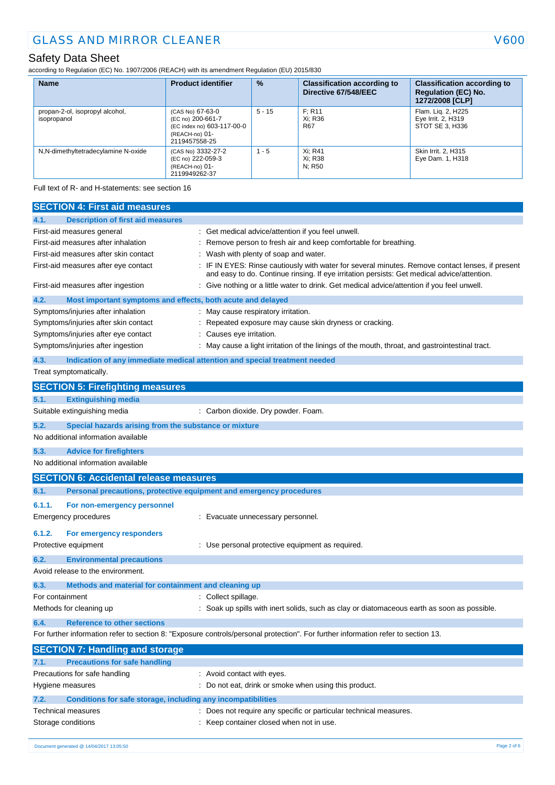according to Regulation (EC) No. 1907/2006 (REACH) with its amendment Regulation (EU) 2015/830

| <b>Name</b>                                    | <b>Product identifier</b>                                                                              | $\frac{9}{6}$ | <b>Classification according to</b><br>Directive 67/548/EEC | <b>Classification according to</b><br><b>Regulation (EC) No.</b><br>1272/2008 [CLP] |
|------------------------------------------------|--------------------------------------------------------------------------------------------------------|---------------|------------------------------------------------------------|-------------------------------------------------------------------------------------|
| propan-2-ol, isopropyl alcohol,<br>isopropanol | (CAS No) 67-63-0<br>(EC no) 200-661-7<br>(EC index no) 603-117-00-0<br>(REACH-no) 01-<br>2119457558-25 | $5 - 15$      | F: R11<br>Xi: R36<br><b>R67</b>                            | Flam. Lig. 2, H225<br>Eye Irrit. 2, H319<br>STOT SE 3. H336                         |
| N,N-dimethyltetradecylamine N-oxide            | (CAS No) 3332-27-2<br>(EC no) 222-059-3<br>(REACH-no) 01-<br>2119949262-37                             | $1 - 5$       | Xi: R41<br>Xi: R38<br>N: R50                               | Skin Irrit. 2, H315<br>Eye Dam. 1, H318                                             |

Full text of R- and H-statements: see section 16

| <b>Description of first aid measures</b><br>4.1.<br>First-aid measures general<br>Get medical advice/attention if you feel unwell.<br>First-aid measures after inhalation<br>Remove person to fresh air and keep comfortable for breathing.<br>Wash with plenty of soap and water.<br>First-aid measures after skin contact<br>IF IN EYES: Rinse cautiously with water for several minutes. Remove contact lenses, if present<br>First-aid measures after eye contact<br>and easy to do. Continue rinsing. If eye irritation persists: Get medical advice/attention.<br>Give nothing or a little water to drink. Get medical advice/attention if you feel unwell.<br>First-aid measures after ingestion<br>4.2.<br>Most important symptoms and effects, both acute and delayed<br>Symptoms/injuries after inhalation<br>: May cause respiratory irritation.<br>Symptoms/injuries after skin contact<br>Repeated exposure may cause skin dryness or cracking.<br>Symptoms/injuries after eye contact<br>Causes eye irritation.<br>Symptoms/injuries after ingestion<br>May cause a light irritation of the linings of the mouth, throat, and gastrointestinal tract. |  |
|---------------------------------------------------------------------------------------------------------------------------------------------------------------------------------------------------------------------------------------------------------------------------------------------------------------------------------------------------------------------------------------------------------------------------------------------------------------------------------------------------------------------------------------------------------------------------------------------------------------------------------------------------------------------------------------------------------------------------------------------------------------------------------------------------------------------------------------------------------------------------------------------------------------------------------------------------------------------------------------------------------------------------------------------------------------------------------------------------------------------------------------------------------------------|--|
|                                                                                                                                                                                                                                                                                                                                                                                                                                                                                                                                                                                                                                                                                                                                                                                                                                                                                                                                                                                                                                                                                                                                                                     |  |
|                                                                                                                                                                                                                                                                                                                                                                                                                                                                                                                                                                                                                                                                                                                                                                                                                                                                                                                                                                                                                                                                                                                                                                     |  |
|                                                                                                                                                                                                                                                                                                                                                                                                                                                                                                                                                                                                                                                                                                                                                                                                                                                                                                                                                                                                                                                                                                                                                                     |  |
|                                                                                                                                                                                                                                                                                                                                                                                                                                                                                                                                                                                                                                                                                                                                                                                                                                                                                                                                                                                                                                                                                                                                                                     |  |
|                                                                                                                                                                                                                                                                                                                                                                                                                                                                                                                                                                                                                                                                                                                                                                                                                                                                                                                                                                                                                                                                                                                                                                     |  |
|                                                                                                                                                                                                                                                                                                                                                                                                                                                                                                                                                                                                                                                                                                                                                                                                                                                                                                                                                                                                                                                                                                                                                                     |  |
|                                                                                                                                                                                                                                                                                                                                                                                                                                                                                                                                                                                                                                                                                                                                                                                                                                                                                                                                                                                                                                                                                                                                                                     |  |
|                                                                                                                                                                                                                                                                                                                                                                                                                                                                                                                                                                                                                                                                                                                                                                                                                                                                                                                                                                                                                                                                                                                                                                     |  |
|                                                                                                                                                                                                                                                                                                                                                                                                                                                                                                                                                                                                                                                                                                                                                                                                                                                                                                                                                                                                                                                                                                                                                                     |  |
|                                                                                                                                                                                                                                                                                                                                                                                                                                                                                                                                                                                                                                                                                                                                                                                                                                                                                                                                                                                                                                                                                                                                                                     |  |
|                                                                                                                                                                                                                                                                                                                                                                                                                                                                                                                                                                                                                                                                                                                                                                                                                                                                                                                                                                                                                                                                                                                                                                     |  |
| 4.3.<br>Indication of any immediate medical attention and special treatment needed                                                                                                                                                                                                                                                                                                                                                                                                                                                                                                                                                                                                                                                                                                                                                                                                                                                                                                                                                                                                                                                                                  |  |
| Treat symptomatically.                                                                                                                                                                                                                                                                                                                                                                                                                                                                                                                                                                                                                                                                                                                                                                                                                                                                                                                                                                                                                                                                                                                                              |  |
| <b>SECTION 5: Firefighting measures</b>                                                                                                                                                                                                                                                                                                                                                                                                                                                                                                                                                                                                                                                                                                                                                                                                                                                                                                                                                                                                                                                                                                                             |  |
| <b>Extinguishing media</b><br>5.1.                                                                                                                                                                                                                                                                                                                                                                                                                                                                                                                                                                                                                                                                                                                                                                                                                                                                                                                                                                                                                                                                                                                                  |  |
| Suitable extinguishing media<br>: Carbon dioxide. Dry powder. Foam.                                                                                                                                                                                                                                                                                                                                                                                                                                                                                                                                                                                                                                                                                                                                                                                                                                                                                                                                                                                                                                                                                                 |  |
| 5.2.<br>Special hazards arising from the substance or mixture                                                                                                                                                                                                                                                                                                                                                                                                                                                                                                                                                                                                                                                                                                                                                                                                                                                                                                                                                                                                                                                                                                       |  |
| No additional information available                                                                                                                                                                                                                                                                                                                                                                                                                                                                                                                                                                                                                                                                                                                                                                                                                                                                                                                                                                                                                                                                                                                                 |  |
| 5.3.<br><b>Advice for firefighters</b>                                                                                                                                                                                                                                                                                                                                                                                                                                                                                                                                                                                                                                                                                                                                                                                                                                                                                                                                                                                                                                                                                                                              |  |
| No additional information available                                                                                                                                                                                                                                                                                                                                                                                                                                                                                                                                                                                                                                                                                                                                                                                                                                                                                                                                                                                                                                                                                                                                 |  |
| <b>SECTION 6: Accidental release measures</b>                                                                                                                                                                                                                                                                                                                                                                                                                                                                                                                                                                                                                                                                                                                                                                                                                                                                                                                                                                                                                                                                                                                       |  |
| Personal precautions, protective equipment and emergency procedures<br>6.1.                                                                                                                                                                                                                                                                                                                                                                                                                                                                                                                                                                                                                                                                                                                                                                                                                                                                                                                                                                                                                                                                                         |  |
| 6.1.1.<br>For non-emergency personnel                                                                                                                                                                                                                                                                                                                                                                                                                                                                                                                                                                                                                                                                                                                                                                                                                                                                                                                                                                                                                                                                                                                               |  |
| Emergency procedures<br>: Evacuate unnecessary personnel.                                                                                                                                                                                                                                                                                                                                                                                                                                                                                                                                                                                                                                                                                                                                                                                                                                                                                                                                                                                                                                                                                                           |  |
| 6.1.2.<br>For emergency responders                                                                                                                                                                                                                                                                                                                                                                                                                                                                                                                                                                                                                                                                                                                                                                                                                                                                                                                                                                                                                                                                                                                                  |  |
| Protective equipment<br>: Use personal protective equipment as required.                                                                                                                                                                                                                                                                                                                                                                                                                                                                                                                                                                                                                                                                                                                                                                                                                                                                                                                                                                                                                                                                                            |  |
| 6.2.<br><b>Environmental precautions</b>                                                                                                                                                                                                                                                                                                                                                                                                                                                                                                                                                                                                                                                                                                                                                                                                                                                                                                                                                                                                                                                                                                                            |  |
| Avoid release to the environment.                                                                                                                                                                                                                                                                                                                                                                                                                                                                                                                                                                                                                                                                                                                                                                                                                                                                                                                                                                                                                                                                                                                                   |  |
| 6.3.<br>Methods and material for containment and cleaning up                                                                                                                                                                                                                                                                                                                                                                                                                                                                                                                                                                                                                                                                                                                                                                                                                                                                                                                                                                                                                                                                                                        |  |
| For containment<br>Collect spillage.                                                                                                                                                                                                                                                                                                                                                                                                                                                                                                                                                                                                                                                                                                                                                                                                                                                                                                                                                                                                                                                                                                                                |  |
| Methods for cleaning up<br>Soak up spills with inert solids, such as clay or diatomaceous earth as soon as possible.                                                                                                                                                                                                                                                                                                                                                                                                                                                                                                                                                                                                                                                                                                                                                                                                                                                                                                                                                                                                                                                |  |
| <b>Reference to other sections</b><br>6.4.                                                                                                                                                                                                                                                                                                                                                                                                                                                                                                                                                                                                                                                                                                                                                                                                                                                                                                                                                                                                                                                                                                                          |  |
| For further information refer to section 8: "Exposure controls/personal protection". For further information refer to section 13.                                                                                                                                                                                                                                                                                                                                                                                                                                                                                                                                                                                                                                                                                                                                                                                                                                                                                                                                                                                                                                   |  |
| <b>SECTION 7: Handling and storage</b>                                                                                                                                                                                                                                                                                                                                                                                                                                                                                                                                                                                                                                                                                                                                                                                                                                                                                                                                                                                                                                                                                                                              |  |
| <b>Precautions for safe handling</b><br>7.1.                                                                                                                                                                                                                                                                                                                                                                                                                                                                                                                                                                                                                                                                                                                                                                                                                                                                                                                                                                                                                                                                                                                        |  |
| Precautions for safe handling<br>: Avoid contact with eyes.                                                                                                                                                                                                                                                                                                                                                                                                                                                                                                                                                                                                                                                                                                                                                                                                                                                                                                                                                                                                                                                                                                         |  |
| Hygiene measures<br>Do not eat, drink or smoke when using this product.                                                                                                                                                                                                                                                                                                                                                                                                                                                                                                                                                                                                                                                                                                                                                                                                                                                                                                                                                                                                                                                                                             |  |
| 7.2.<br>Conditions for safe storage, including any incompatibilities                                                                                                                                                                                                                                                                                                                                                                                                                                                                                                                                                                                                                                                                                                                                                                                                                                                                                                                                                                                                                                                                                                |  |
| Does not require any specific or particular technical measures.<br>Technical measures                                                                                                                                                                                                                                                                                                                                                                                                                                                                                                                                                                                                                                                                                                                                                                                                                                                                                                                                                                                                                                                                               |  |
|                                                                                                                                                                                                                                                                                                                                                                                                                                                                                                                                                                                                                                                                                                                                                                                                                                                                                                                                                                                                                                                                                                                                                                     |  |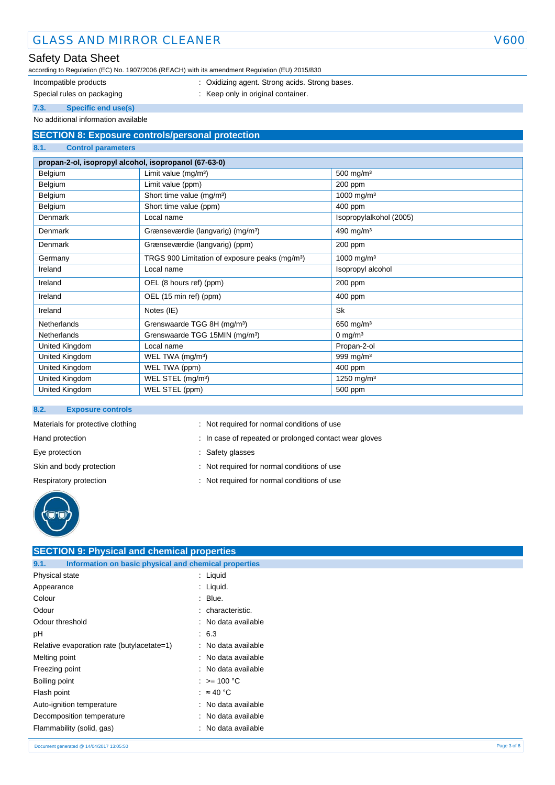# GLASS AND MIRROR CLEANER V600

# Safety Data Sheet

according to Regulation (EC) No. 1907/2006 (REACH) with its amendment Regulation (EU) 2015/830

- 
- Incompatible products **incompatible products** : Oxidizing agent. Strong acids. Strong bases.
- 
- Special rules on packaging **interpretate that the set of the Special rules** on packaging **interpretate the Special rules**

**7.3. Specific end use(s)** No additional information available

# **SECTION 8: Exposure controls/personal protection**

#### **8.1. Control parameters**

# **propan-2-ol, isopropyl alcohol, isopropanol (67-63-0)**

| Belgium            | Limit value $(mg/m3)$                                      | 500 mg/m $3$            |
|--------------------|------------------------------------------------------------|-------------------------|
| Belgium            | Limit value (ppm)                                          | 200 ppm                 |
| Belgium            | Short time value (mg/m <sup>3</sup> )                      | 1000 mg/m <sup>3</sup>  |
| Belgium            | Short time value (ppm)                                     | 400 ppm                 |
| Denmark            | Local name                                                 | Isopropylalkohol (2005) |
| Denmark            | Grænseværdie (langvarig) (mg/m <sup>3</sup> )              | 490 mg/m $3$            |
| <b>Denmark</b>     | Grænseværdie (langvarig) (ppm)                             | 200 ppm                 |
| Germany            | TRGS 900 Limitation of exposure peaks (mg/m <sup>3</sup> ) | 1000 mg/m <sup>3</sup>  |
| Ireland            | Local name                                                 | Isopropyl alcohol       |
| Ireland            | OEL (8 hours ref) (ppm)                                    | 200 ppm                 |
| Ireland            | OEL (15 min ref) (ppm)                                     | 400 ppm                 |
| Ireland            | Notes (IE)                                                 | <b>Sk</b>               |
| <b>Netherlands</b> | Grenswaarde TGG 8H (mg/m <sup>3</sup> )                    | 650 mg/m $3$            |
| <b>Netherlands</b> | Grenswaarde TGG 15MIN (mg/m <sup>3</sup> )                 | 0 mg/m $3$              |
| United Kingdom     | Local name                                                 | Propan-2-ol             |
| United Kingdom     | WEL TWA (mg/m <sup>3</sup> )                               | 999 mg/m $3$            |
| United Kingdom     | WEL TWA (ppm)                                              | 400 ppm                 |
| United Kingdom     | WEL STEL (mg/m <sup>3</sup> )                              | 1250 mg/m <sup>3</sup>  |
| United Kingdom     | WEL STEL (ppm)                                             | 500 ppm                 |

#### **8.2. Exposure controls**

|  | Materials for protective clothing |  |
|--|-----------------------------------|--|
|  |                                   |  |

- 
- 
- : Not required for normal conditions of use
- Hand protection **in case of repeated or prolonged contact wear gloves**  $\cdot$  In case of repeated or prolonged contact wear gloves
- Eye protection  $\qquad \qquad$ : Safety glasses
- Skin and body protection : Not required for normal conditions of use
- Respiratory protection : Not required for normal conditions of use



| <b>SECTION 9: Physical and chemical properties</b>            |                          |  |
|---------------------------------------------------------------|--------------------------|--|
| Information on basic physical and chemical properties<br>9.1. |                          |  |
| Physical state                                                | : Liquid                 |  |
| Appearance                                                    | : Liquid.                |  |
| Colour                                                        | $:$ Blue.                |  |
| Odour                                                         | : characteristic.        |  |
| Odour threshold                                               | : No data available      |  |
| pH                                                            | : 6.3                    |  |
| Relative evaporation rate (butylacetate=1)                    | : No data available      |  |
| Melting point                                                 | : No data available      |  |
| Freezing point                                                | : No data available      |  |
| Boiling point                                                 | : $> = 100 °C$           |  |
| Flash point                                                   | : $\approx 40^{\circ}$ C |  |
| Auto-ignition temperature                                     | : No data available      |  |
| Decomposition temperature                                     | : No data available      |  |
| Flammability (solid, gas)                                     | : No data available      |  |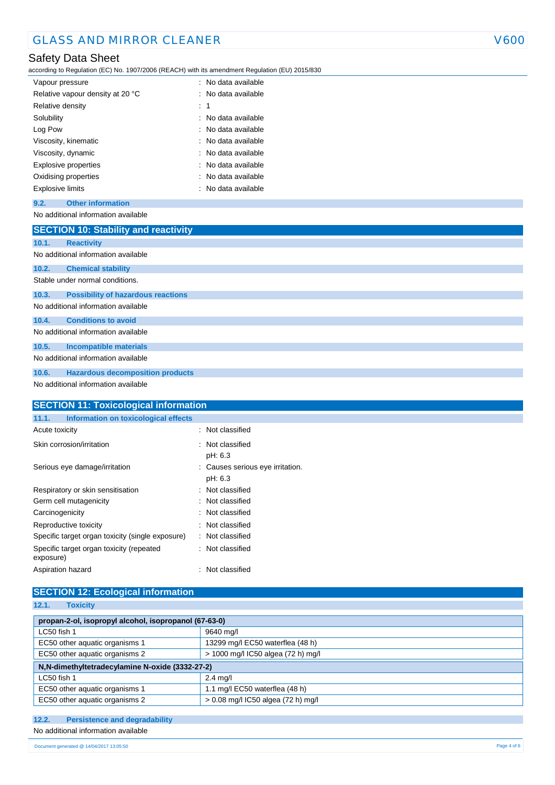# Safety Data Sheet

according to Regulation (EC) No. 1907/2006 (REACH) with its amendment Regulation (EU) 2015/830

| Vapour pressure                  | : No data available   |
|----------------------------------|-----------------------|
| Relative vapour density at 20 °C | : No data available   |
| Relative density                 | : 1                   |
| Solubility                       | $:$ No data available |
| Log Pow                          | : No data available   |
| Viscosity, kinematic             | : No data available   |
| Viscosity, dynamic               | : No data available   |
| Explosive properties             | : No data available   |
| Oxidising properties             | : No data available   |
| <b>Explosive limits</b>          | : No data available   |

## **9.2. Other information**

No additional information available

|       | <b>SECTION 10: Stability and reactivity</b> |
|-------|---------------------------------------------|
| 10.1. | <b>Reactivity</b>                           |
|       | No additional information available         |
| 10.2. | <b>Chemical stability</b>                   |
|       | Stable under normal conditions.             |
| 10.3. | <b>Possibility of hazardous reactions</b>   |
|       | No additional information available         |
| 10.4. | <b>Conditions to avoid</b>                  |
|       | No additional information available         |
| 10.5. | <b>Incompatible materials</b>               |
|       | No additional information available         |
| 10.6. | <b>Hazardous decomposition products</b>     |
|       | No additional information available         |

| <b>SECTION 11: Toxicological information</b>          |                                             |
|-------------------------------------------------------|---------------------------------------------|
| Information on toxicological effects<br>11.1.         |                                             |
| Acute toxicity                                        | : Not classified                            |
| Skin corrosion/irritation                             | : Not classified<br>pH: 6.3                 |
| Serious eye damage/irritation                         | : Causes serious eye irritation.<br>pH: 6.3 |
| Respiratory or skin sensitisation                     | Not classified<br>۰.                        |
| Germ cell mutagenicity                                | : Not classified                            |
| Carcinogenicity                                       | : Not classified                            |
| Reproductive toxicity                                 | : Not classified                            |
| Specific target organ toxicity (single exposure)      | : Not classified                            |
| Specific target organ toxicity (repeated<br>exposure) | : Not classified                            |
| Aspiration hazard                                     | Not classified                              |

# **SECTION 12: Ecological information**

| 12.1.<br><b>Toxicity</b>                                             |                                  |  |
|----------------------------------------------------------------------|----------------------------------|--|
|                                                                      |                                  |  |
| propan-2-ol, isopropyl alcohol, isopropanol (67-63-0)                |                                  |  |
| LC50 fish 1                                                          | 9640 mg/l                        |  |
| EC50 other aquatic organisms 1                                       | 13299 mg/l EC50 waterflea (48 h) |  |
| EC50 other aquatic organisms 2<br>> 1000 mg/l IC50 algea (72 h) mg/l |                                  |  |
| N,N-dimethyltetradecylamine N-oxide (3332-27-2)                      |                                  |  |
| LC50 fish 1                                                          | $2.4$ ma/                        |  |
| EC50 other aquatic organisms 1                                       | 1.1 mg/l EC50 waterflea (48 h)   |  |
| EC50 other aquatic organisms 2<br>> 0.08 mg/l IC50 algea (72 h) mg/l |                                  |  |

# **12.2. Persistence and degradability**

# No additional information available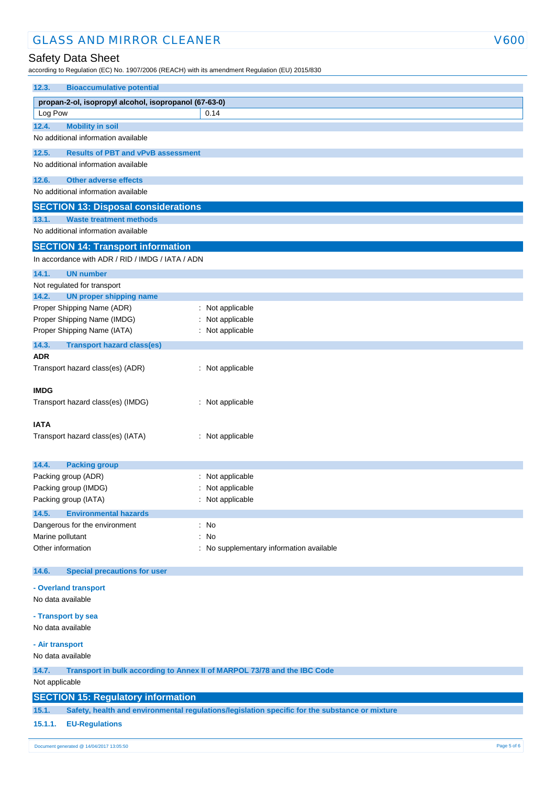# GLASS AND MIRROR CLEANER V600

# Safety Data Sheet

according to Regulation (EC) No. 1907/2006 (REACH) with its amendment Regulation (EU) 2015/830

| <b>Bioaccumulative potential</b><br>12.3.                 |                                                                                                |  |
|-----------------------------------------------------------|------------------------------------------------------------------------------------------------|--|
| propan-2-ol, isopropyl alcohol, isopropanol (67-63-0)     |                                                                                                |  |
| Log Pow                                                   | 0.14                                                                                           |  |
| <b>Mobility in soil</b><br>12.4.                          |                                                                                                |  |
| No additional information available                       |                                                                                                |  |
| <b>Results of PBT and vPvB assessment</b><br>12.5.        |                                                                                                |  |
| No additional information available                       |                                                                                                |  |
| <b>Other adverse effects</b><br>12.6.                     |                                                                                                |  |
| No additional information available                       |                                                                                                |  |
| <b>SECTION 13: Disposal considerations</b>                |                                                                                                |  |
| <b>Waste treatment methods</b><br>13.1.                   |                                                                                                |  |
| No additional information available                       |                                                                                                |  |
| <b>SECTION 14: Transport information</b>                  |                                                                                                |  |
| In accordance with ADR / RID / IMDG / IATA / ADN          |                                                                                                |  |
| 14.1.<br><b>UN number</b>                                 |                                                                                                |  |
| Not regulated for transport                               |                                                                                                |  |
| <b>UN proper shipping name</b><br>14.2.                   |                                                                                                |  |
| Proper Shipping Name (ADR)<br>Proper Shipping Name (IMDG) | : Not applicable                                                                               |  |
| Proper Shipping Name (IATA)                               | Not applicable<br>: Not applicable                                                             |  |
| 14.3.                                                     |                                                                                                |  |
| <b>Transport hazard class(es)</b><br>ADR                  |                                                                                                |  |
| Transport hazard class(es) (ADR)                          | : Not applicable                                                                               |  |
|                                                           |                                                                                                |  |
| <b>IMDG</b>                                               |                                                                                                |  |
| Transport hazard class(es) (IMDG)                         | : Not applicable                                                                               |  |
|                                                           |                                                                                                |  |
| IATA<br>Transport hazard class(es) (IATA)                 | : Not applicable                                                                               |  |
|                                                           |                                                                                                |  |
|                                                           |                                                                                                |  |
| 14.4.<br><b>Packing group</b><br>Packing group (ADR)      | Not applicable                                                                                 |  |
| Packing group (IMDG)                                      | Not applicable                                                                                 |  |
| Packing group (IATA)                                      | : Not applicable                                                                               |  |
| 14.5.<br><b>Environmental hazards</b>                     |                                                                                                |  |
| Dangerous for the environment                             | : No                                                                                           |  |
| Marine pollutant                                          | No<br>÷                                                                                        |  |
| Other information                                         | No supplementary information available                                                         |  |
|                                                           |                                                                                                |  |
| <b>Special precautions for user</b><br>14.6.              |                                                                                                |  |
| - Overland transport                                      |                                                                                                |  |
| No data available                                         |                                                                                                |  |
| - Transport by sea                                        |                                                                                                |  |
| No data available                                         |                                                                                                |  |
| - Air transport                                           |                                                                                                |  |
| No data available                                         |                                                                                                |  |
| 14.7.                                                     | Transport in bulk according to Annex II of MARPOL 73/78 and the IBC Code                       |  |
| Not applicable                                            |                                                                                                |  |
| <b>SECTION 15: Regulatory information</b>                 |                                                                                                |  |
| 15.1.                                                     | Safety, health and environmental regulations/legislation specific for the substance or mixture |  |
| 15.1.1.<br><b>EU-Regulations</b>                          |                                                                                                |  |
|                                                           |                                                                                                |  |